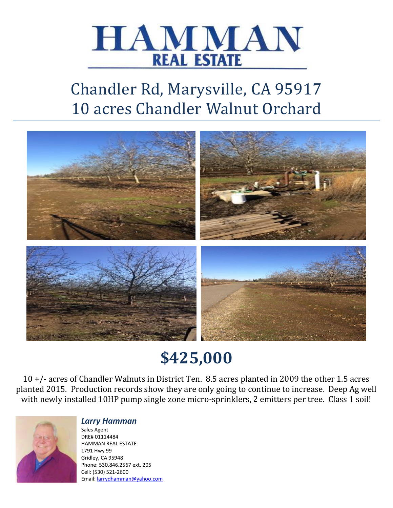

# Chandler Rd, Marysville, CA 95917 10 acres Chandler Walnut Orchard



# **\$425,000**

10 +/- acres of Chandler Walnuts in District Ten. 8.5 acres planted in 2009 the other 1.5 acres planted 2015. Production records show they are only going to continue to increase. Deep Ag well with newly installed 10HP pump single zone micro-sprinklers, 2 emitters per tree. Class 1 soil!



#### *Larry Hamman*

Sales Agent DRE# 01114484 HAMMAN REAL ESTATE 1791 Hwy 99 Gridley, CA 95948 Phone: 530.846.2567 ext. 205 Cell: (530) 521-2600 Email: [larrydhamman@yahoo.com](mailto:larrydhamman@yahoo.com)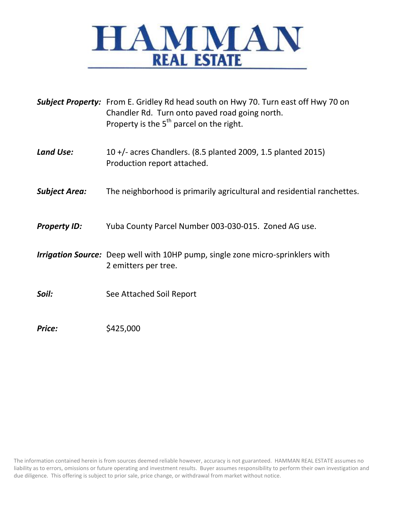

|                      | Subject Property: From E. Gridley Rd head south on Hwy 70. Turn east off Hwy 70 on<br>Chandler Rd. Turn onto paved road going north.<br>Property is the $5th$ parcel on the right. |  |
|----------------------|------------------------------------------------------------------------------------------------------------------------------------------------------------------------------------|--|
| <b>Land Use:</b>     | 10 +/- acres Chandlers. (8.5 planted 2009, 1.5 planted 2015)<br>Production report attached.                                                                                        |  |
| <b>Subject Area:</b> | The neighborhood is primarily agricultural and residential ranchettes.                                                                                                             |  |
| <b>Property ID:</b>  | Yuba County Parcel Number 003-030-015. Zoned AG use.                                                                                                                               |  |
|                      | <b>Irrigation Source:</b> Deep well with 10HP pump, single zone micro-sprinklers with<br>2 emitters per tree.                                                                      |  |
| Soil:                | See Attached Soil Report                                                                                                                                                           |  |
| Price:               | \$425,000                                                                                                                                                                          |  |

The information contained herein is from sources deemed reliable however, accuracy is not guaranteed. HAMMAN REAL ESTATE assumes no liability as to errors, omissions or future operating and investment results. Buyer assumes responsibility to perform their own investigation and due diligence. This offering is subject to prior sale, price change, or withdrawal from market without notice.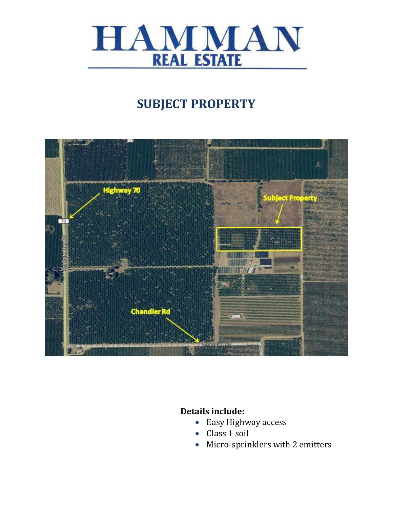

## **SUBJECT PROPERTY**



#### **Details include:**

- Easy Highway access
- Class 1 soil
- Micro-sprinklers with 2 emitters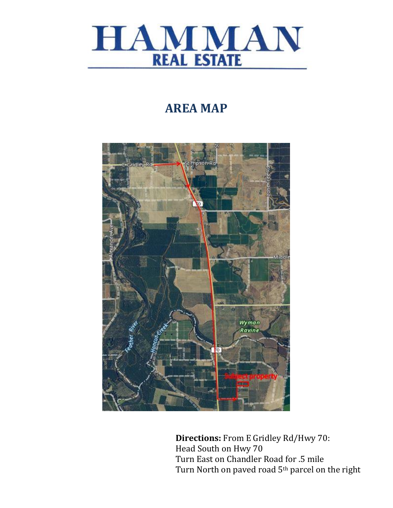

### **AREA MAP**



**Directions:** From E Gridley Rd/Hwy 70: Head South on Hwy 70 Turn East on Chandler Road for .5 mile Turn North on paved road 5th parcel on the right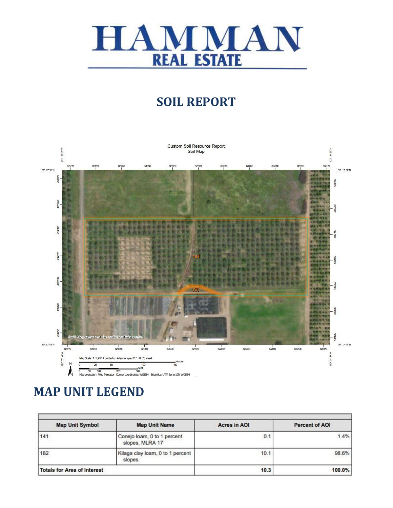

### **SOIL REPORT**



### **MAP UNIT LEGEND**

| <b>Map Unit Symbol</b>             | <b>Map Unit Name</b>                           | <b>Acres in AOI</b> | <b>Percent of AOI</b> |
|------------------------------------|------------------------------------------------|---------------------|-----------------------|
| 141                                | Conejo loam, 0 to 1 percent<br>slopes, MLRA 17 | 0.1                 | 1.4%                  |
| 182                                | Kilaga clay loam, 0 to 1 percent<br>slopes     | 10.1                | 98.6%                 |
| <b>Totals for Area of Interest</b> |                                                | 10.3                | 100.0%                |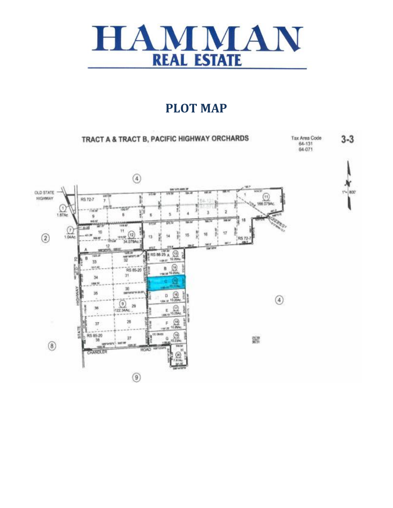

#### **PLOT MAP**